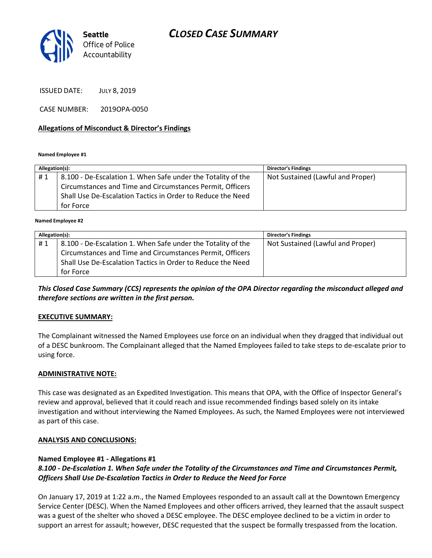

ISSUED DATE: JULY 8, 2019

CASE NUMBER: 2019OPA-0050

## Allegations of Misconduct & Director's Findings

Named Employee #1

| Allegation(s): |                                                              | <b>Director's Findings</b>        |
|----------------|--------------------------------------------------------------|-----------------------------------|
| #1             | 8.100 - De-Escalation 1. When Safe under the Totality of the | Not Sustained (Lawful and Proper) |
|                | Circumstances and Time and Circumstances Permit, Officers    |                                   |
|                | Shall Use De-Escalation Tactics in Order to Reduce the Need  |                                   |
|                | for Force                                                    |                                   |
|                |                                                              |                                   |

Named Employee #2

| Allegation(s): |                                                              | <b>Director's Findings</b>        |
|----------------|--------------------------------------------------------------|-----------------------------------|
| #1             | 8.100 - De-Escalation 1. When Safe under the Totality of the | Not Sustained (Lawful and Proper) |
|                | Circumstances and Time and Circumstances Permit, Officers    |                                   |
|                | Shall Use De-Escalation Tactics in Order to Reduce the Need  |                                   |
|                | for Force                                                    |                                   |

This Closed Case Summary (CCS) represents the opinion of the OPA Director regarding the misconduct alleged and therefore sections are written in the first person.

## EXECUTIVE SUMMARY:

The Complainant witnessed the Named Employees use force on an individual when they dragged that individual out of a DESC bunkroom. The Complainant alleged that the Named Employees failed to take steps to de-escalate prior to using force.

#### ADMINISTRATIVE NOTE:

This case was designated as an Expedited Investigation. This means that OPA, with the Office of Inspector General's review and approval, believed that it could reach and issue recommended findings based solely on its intake investigation and without interviewing the Named Employees. As such, the Named Employees were not interviewed as part of this case.

#### ANALYSIS AND CONCLUSIONS:

## Named Employee #1 - Allegations #1

## 8.100 - De-Escalation 1. When Safe under the Totality of the Circumstances and Time and Circumstances Permit, Officers Shall Use De-Escalation Tactics in Order to Reduce the Need for Force

On January 17, 2019 at 1:22 a.m., the Named Employees responded to an assault call at the Downtown Emergency Service Center (DESC). When the Named Employees and other officers arrived, they learned that the assault suspect was a guest of the shelter who shoved a DESC employee. The DESC employee declined to be a victim in order to support an arrest for assault; however, DESC requested that the suspect be formally trespassed from the location.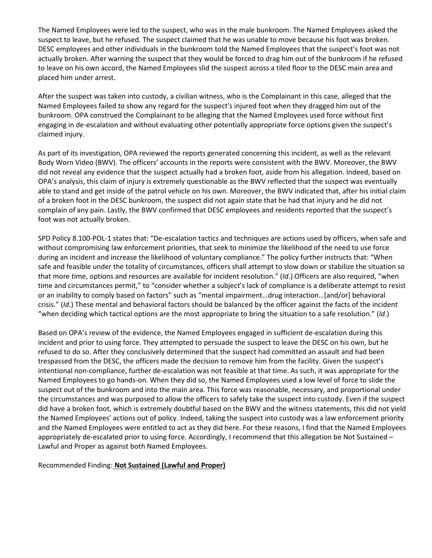The Named Employees were led to the suspect, who was in the male bunkroom. The Named Employees asked the suspect to leave, but he refused. The suspect claimed that he was unable to move because his foot was broken. DESC employees and other individuals in the bunkroom told the Named Employees that the suspect's foot was not actually broken. After warning the suspect that they would be forced to drag him out of the bunkroom if he refused to leave on his own accord, the Named Employees slid the suspect across a tiled floor to the DESC main area and placed him under arrest.

After the suspect was taken into custody, a civilian witness, who is the Complainant in this case, alleged that the Named Employees failed to show any regard for the suspect's injured foot when they dragged him out of the bunkroom. OPA construed the Complainant to be alleging that the Named Employees used force without first engaging in de-escalation and without evaluating other potentially appropriate force options given the suspect's claimed injury.

As part of its investigation, OPA reviewed the reports generated concerning this incident, as well as the relevant Body Worn Video (BWV). The officers' accounts in the reports were consistent with the BWV. Moreover, the BWV did not reveal any evidence that the suspect actually had a broken foot, aside from his allegation. Indeed, based on OPA's analysis, this claim of injury is extremely questionable as the BWV reflected that the suspect was eventually able to stand and get inside of the patrol vehicle on his own. Moreover, the BWV indicated that, after his initial claim of a broken foot in the DESC bunkroom, the suspect did not again state that he had that injury and he did not complain of any pain. Lastly, the BWV confirmed that DESC employees and residents reported that the suspect's foot was not actually broken.

SPD Policy 8.100-POL-1 states that: "De-escalation tactics and techniques are actions used by officers, when safe and without compromising law enforcement priorities, that seek to minimize the likelihood of the need to use force during an incident and increase the likelihood of voluntary compliance." The policy further instructs that: "When safe and feasible under the totality of circumstances, officers shall attempt to slow down or stabilize the situation so that more time, options and resources are available for incident resolution." (Id.) Officers are also required, "when time and circumstances permit," to "consider whether a subject's lack of compliance is a deliberate attempt to resist or an inability to comply based on factors" such as "mental impairment…drug interaction…[and/or] behavioral crisis." (Id.) These mental and behavioral factors should be balanced by the officer against the facts of the incident "when deciding which tactical options are the most appropriate to bring the situation to a safe resolution." (Id.)

Based on OPA's review of the evidence, the Named Employees engaged in sufficient de-escalation during this incident and prior to using force. They attempted to persuade the suspect to leave the DESC on his own, but he refused to do so. After they conclusively determined that the suspect had committed an assault and had been trespassed from the DESC, the officers made the decision to remove him from the facility. Given the suspect's intentional non-compliance, further de-escalation was not feasible at that time. As such, it was appropriate for the Named Employees to go hands-on. When they did so, the Named Employees used a low level of force to slide the suspect out of the bunkroom and into the main area. This force was reasonable, necessary, and proportional under the circumstances and was purposed to allow the officers to safely take the suspect into custody. Even if the suspect did have a broken foot, which is extremely doubtful based on the BWV and the witness statements, this did not yield the Named Employees' actions out of policy. Indeed, taking the suspect into custody was a law enforcement priority and the Named Employees were entitled to act as they did here. For these reasons, I find that the Named Employees appropriately de-escalated prior to using force. Accordingly, I recommend that this allegation be Not Sustained – Lawful and Proper as against both Named Employees.

Recommended Finding: Not Sustained (Lawful and Proper)